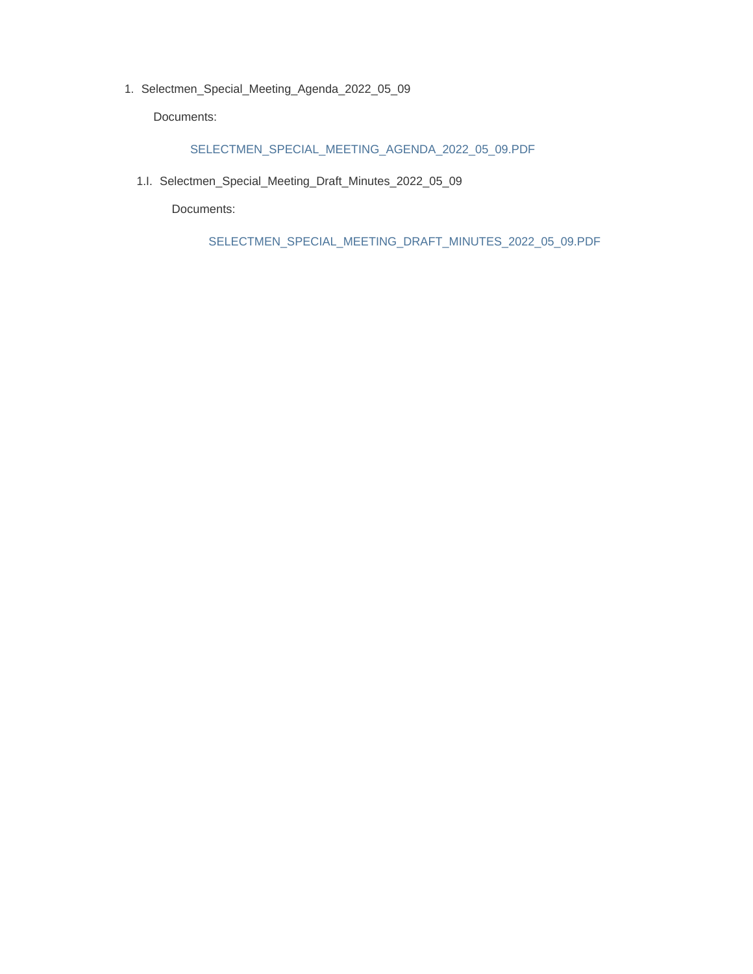1. Selectmen\_Special\_Meeting\_Agenda\_2022\_05\_09

Documents:

#### SELECTMEN\_SPECIAL\_MEETING\_AGENDA\_2022\_05\_09.PDF

1.I. Selectmen\_Special\_Meeting\_Draft\_Minutes\_2022\_05\_09

Documents:

SELECTMEN\_SPECIAL\_MEETING\_DRAFT\_MINUTES\_2022\_05\_09.PDF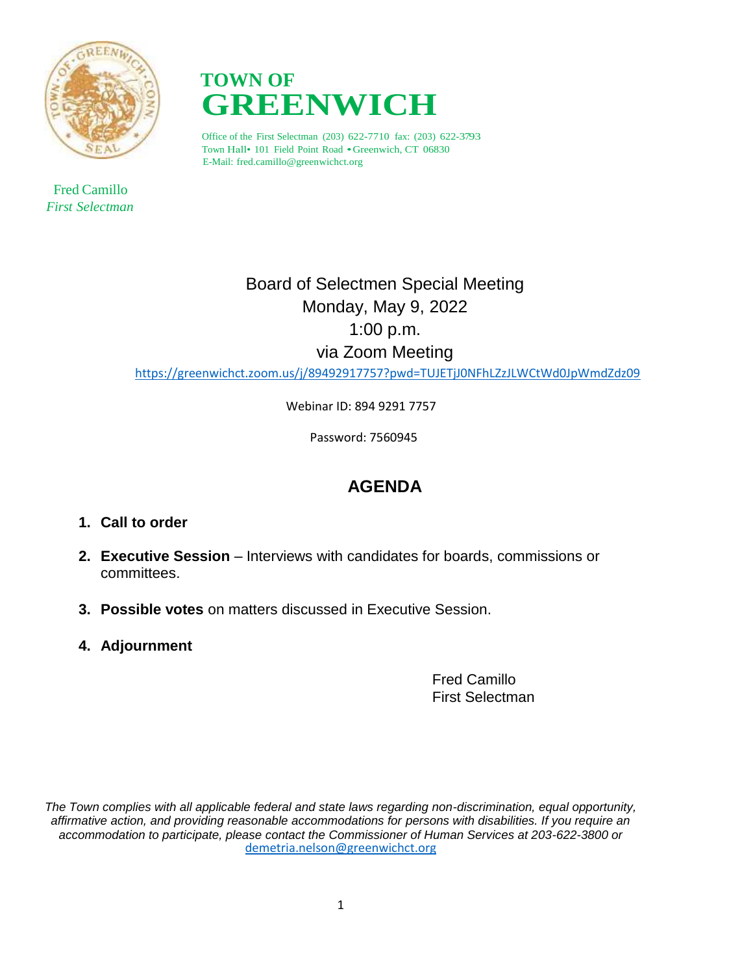

 Fred Camillo *First Selectman*



Office of the First Selectman (203) 622-7710 fax: (203) 622-3793 Town Hall• <sup>101</sup> Field Point Road •Greenwich, CT 06830 E-Mail: fred.camillo@greenwichct.org

> Board of Selectmen Special Meeting Monday, May 9, 2022 1:00 p.m. via Zoom Meeting

<https://greenwichct.zoom.us/j/89492917757?pwd=TUJETjJ0NFhLZzJLWCtWd0JpWmdZdz09>

Webinar ID: 894 9291 7757

Password: 7560945

## **AGENDA**

- **1. Call to order**
- **2. Executive Session** Interviews with candidates for boards, commissions or committees.
- **3. Possible votes** on matters discussed in Executive Session.
- **4. Adjournment**

Fred Camillo First Selectman

*The Town complies with all applicable federal and state laws regarding non-discrimination, equal opportunity, affirmative action, and providing reasonable accommodations for persons with disabilities. If you require an accommodation to participate, please contact the Commissioner of Human Services at 203-622-3800 or* [demetria.nelson@greenwichct.org](mailto:demetria.nelson@greenwichct.org)